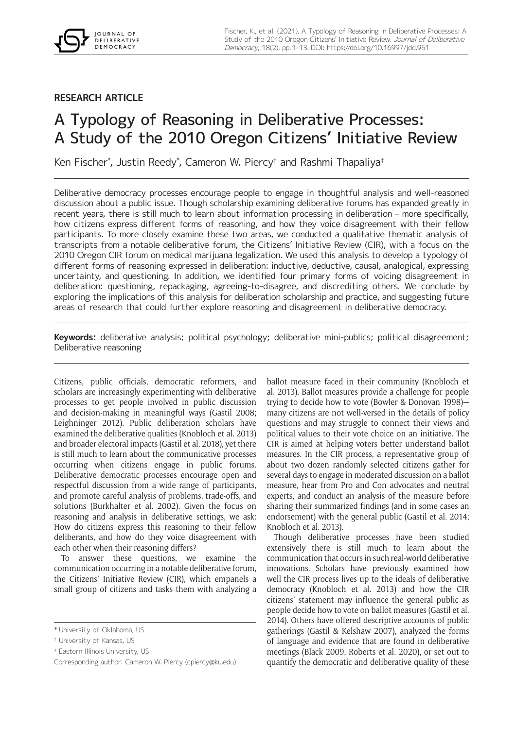# **RESEARCH ARTICLE**

# A Typology of Reasoning in Deliberative Processes: A Study of the 2010 Oregon Citizens' Initiative Review

Ken Fischer\* , Justin Reedy\* , Cameron W. Piercy† and Rashmi Thapaliya‡

Deliberative democracy processes encourage people to engage in thoughtful analysis and well-reasoned discussion about a public issue. Though scholarship examining deliberative forums has expanded greatly in recent years, there is still much to learn about information processing in deliberation – more specifically, how citizens express different forms of reasoning, and how they voice disagreement with their fellow participants. To more closely examine these two areas, we conducted a qualitative thematic analysis of transcripts from a notable deliberative forum, the Citizens' Initiative Review (CIR), with a focus on the 2010 Oregon CIR forum on medical marijuana legalization. We used this analysis to develop a typology of different forms of reasoning expressed in deliberation: inductive, deductive, causal, analogical, expressing uncertainty, and questioning. In addition, we identified four primary forms of voicing disagreement in deliberation: questioning, repackaging, agreeing-to-disagree, and discrediting others. We conclude by exploring the implications of this analysis for deliberation scholarship and practice, and suggesting future areas of research that could further explore reasoning and disagreement in deliberative democracy.

**Keywords:** deliberative analysis; political psychology; deliberative mini-publics; political disagreement; Deliberative reasoning

Citizens, public officials, democratic reformers, and scholars are increasingly experimenting with deliberative processes to get people involved in public discussion and decision-making in meaningful ways (Gastil 2008; Leighninger 2012). Public deliberation scholars have examined the deliberative qualities (Knobloch et al. 2013) and broader electoral impacts (Gastil et al. 2018), yet there is still much to learn about the communicative processes occurring when citizens engage in public forums. Deliberative democratic processes encourage open and respectful discussion from a wide range of participants, and promote careful analysis of problems, trade-offs, and solutions (Burkhalter et al. 2002). Given the focus on reasoning and analysis in deliberative settings, we ask: How do citizens express this reasoning to their fellow deliberants, and how do they voice disagreement with each other when their reasoning differs?

To answer these questions, we examine the communication occurring in a notable deliberative forum, the Citizens' Initiative Review (CIR), which empanels a small group of citizens and tasks them with analyzing a

ballot measure faced in their community (Knobloch et al. 2013). Ballot measures provide a challenge for people trying to decide how to vote (Bowler & Donovan 1998) many citizens are not well-versed in the details of policy questions and may struggle to connect their views and political values to their vote choice on an initiative. The CIR is aimed at helping voters better understand ballot measures. In the CIR process, a representative group of about two dozen randomly selected citizens gather for several days to engage in moderated discussion on a ballot measure, hear from Pro and Con advocates and neutral experts, and conduct an analysis of the measure before sharing their summarized findings (and in some cases an endorsement) with the general public (Gastil et al. 2014; Knobloch et al. 2013).

Though deliberative processes have been studied extensively there is still much to learn about the communication that occurs in such real-world deliberative innovations. Scholars have previously examined how well the CIR process lives up to the ideals of deliberative democracy (Knobloch et al. 2013) and how the CIR citizens' statement may influence the general public as people decide how to vote on ballot measures (Gastil et al. 2014). Others have offered descriptive accounts of public gatherings (Gastil & Kelshaw 2007), analyzed the forms of language and evidence that are found in deliberative meetings (Black 2009, Roberts et al. 2020), or set out to quantify the democratic and deliberative quality of these

<sup>\*</sup> University of Oklahoma, US

<sup>†</sup> University of Kansas, US

<sup>‡</sup> Eastern Illinois University, US

Corresponding author: Cameron W. Piercy [\(cpiercy@ku.edu\)](mailto:cpiercy@ku.edu)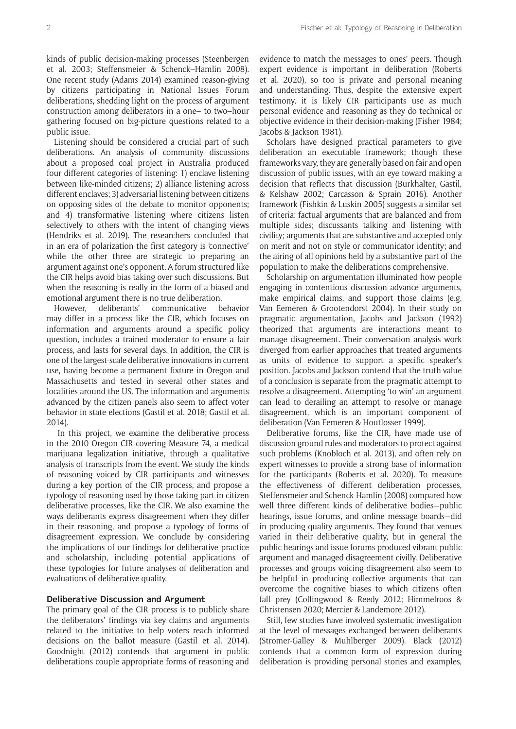kinds of public decision-making processes (Steenbergen et al. 2003; Steffensmeier & Schenck–Hamlin 2008). One recent study (Adams 2014) examined reason-giving by citizens participating in National Issues Forum deliberations, shedding light on the process of argument construction among deliberators in a one– to two–hour gathering focused on big-picture questions related to a public issue.

Listening should be considered a crucial part of such deliberations. An analysis of community discussions about a proposed coal project in Australia produced four different categories of listening: 1) enclave listening between like-minded citizens; 2) alliance listening across different enclaves; 3) adversarial listening between citizens on opposing sides of the debate to monitor opponents; and 4) transformative listening where citizens listen selectively to others with the intent of changing views (Hendriks et al. 2019). The researchers concluded that in an era of polarization the first category is 'connective' while the other three are strategic to preparing an argument against one's opponent. A forum structured like the CIR helps avoid bias taking over such discussions. But when the reasoning is really in the form of a biased and emotional argument there is no true deliberation.

However, deliberants' communicative behavior may differ in a process like the CIR, which focuses on information and arguments around a specific policy question, includes a trained moderator to ensure a fair process, and lasts for several days. In addition, the CIR is one of the largest-scale deliberative innovations in current use, having become a permanent fixture in Oregon and Massachusetts and tested in several other states and localities around the US. The information and arguments advanced by the citizen panels also seem to affect voter behavior in state elections (Gastil et al. 2018; Gastil et al. 2014).

 In this project, we examine the deliberative process in the 2010 Oregon CIR covering Measure 74, a medical marijuana legalization initiative, through a qualitative analysis of transcripts from the event. We study the kinds of reasoning voiced by CIR participants and witnesses during a key portion of the CIR process, and propose a typology of reasoning used by those taking part in citizen deliberative processes, like the CIR. We also examine the ways deliberants express disagreement when they differ in their reasoning, and propose a typology of forms of disagreement expression. We conclude by considering the implications of our findings for deliberative practice and scholarship, including potential applications of these typologies for future analyses of deliberation and evaluations of deliberative quality.

#### **Deliberative Discussion and Argument**

The primary goal of the CIR process is to publicly share the deliberators' findings via key claims and arguments related to the initiative to help voters reach informed decisions on the ballot measure (Gastil et al. 2014). Goodnight (2012) contends that argument in public deliberations couple appropriate forms of reasoning and evidence to match the messages to ones' peers. Though expert evidence is important in deliberation (Roberts et al. 2020), so too is private and personal meaning and understanding. Thus, despite the extensive expert testimony, it is likely CIR participants use as much personal evidence and reasoning as they do technical or objective evidence in their decision-making (Fisher 1984; Jacobs & Jackson 1981).

Scholars have designed practical parameters to give deliberation an executable framework; though these frameworks vary, they are generally based on fair and open discussion of public issues, with an eye toward making a decision that reflects that discussion (Burkhalter, Gastil, & Kelshaw 2002; Carcasson & Sprain 2016). Another framework (Fishkin & Luskin 2005) suggests a similar set of criteria: factual arguments that are balanced and from multiple sides; discussants talking and listening with civility; arguments that are substantive and accepted only on merit and not on style or communicator identity; and the airing of all opinions held by a substantive part of the population to make the deliberations comprehensive.

Scholarship on argumentation illuminated how people engaging in contentious discussion advance arguments, make empirical claims, and support those claims (e.g. Van Eemeren & Grootendorst 2004). In their study on pragmatic argumentation, Jacobs and Jackson (1992) theorized that arguments are interactions meant to manage disagreement. Their conversation analysis work diverged from earlier approaches that treated arguments as units of evidence to support a specific speaker's position. Jacobs and Jackson contend that the truth value of a conclusion is separate from the pragmatic attempt to resolve a disagreement. Attempting 'to win' an argument can lead to derailing an attempt to resolve or manage disagreement, which is an important component of deliberation (Van Eemeren & Houtlosser 1999).

Deliberative forums, like the CIR, have made use of discussion ground rules and moderators to protect against such problems (Knobloch et al. 2013), and often rely on expert witnesses to provide a strong base of information for the participants (Roberts et al. 2020). To measure the effectiveness of different deliberation processes, Steffensmeier and Schenck-Hamlin (2008) compared how well three different kinds of deliberative bodies—public hearings, issue forums, and online message boards—did in producing quality arguments. They found that venues varied in their deliberative quality, but in general the public hearings and issue forums produced vibrant public argument and managed disagreement civilly. Deliberative processes and groups voicing disagreement also seem to be helpful in producing collective arguments that can overcome the cognitive biases to which citizens often fall prey (Collingwood & Reedy 2012; Himmelroos & Christensen 2020; Mercier & Landemore 2012).

Still, few studies have involved systematic investigation at the level of messages exchanged between deliberants (Stromer-Galley & Muhlberger 2009). Black (2012) contends that a common form of expression during deliberation is providing personal stories and examples,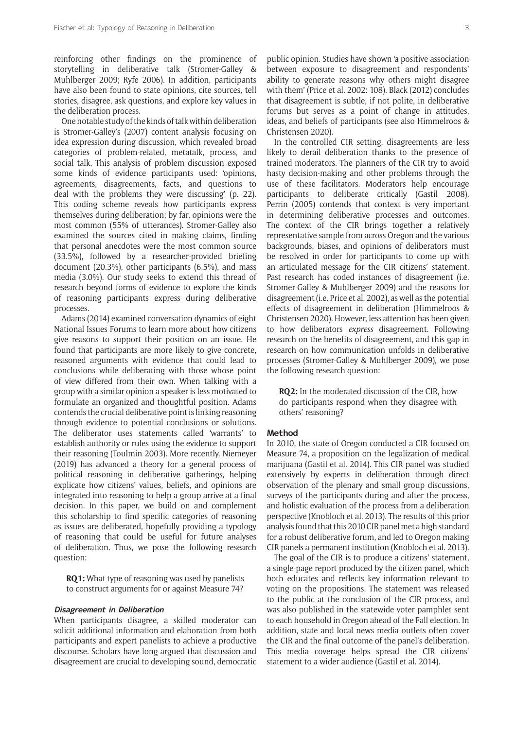reinforcing other findings on the prominence of storytelling in deliberative talk (Stromer-Galley & Muhlberger 2009; Ryfe 2006). In addition, participants have also been found to state opinions, cite sources, tell stories, disagree, ask questions, and explore key values in the deliberation process.

One notable study of the kinds of talk within deliberation is Stromer-Galley's (2007) content analysis focusing on idea expression during discussion, which revealed broad categories of problem-related, metatalk, process, and social talk. This analysis of problem discussion exposed some kinds of evidence participants used: 'opinions, agreements, disagreements, facts, and questions to deal with the problems they were discussing' (p. 22). This coding scheme reveals how participants express themselves during deliberation; by far, opinions were the most common (55% of utterances). Stromer-Galley also examined the sources cited in making claims, finding that personal anecdotes were the most common source (33.5%), followed by a researcher-provided briefing document (20.3%), other participants (6.5%), and mass media (3.0%). Our study seeks to extend this thread of research beyond forms of evidence to explore the kinds of reasoning participants express during deliberative processes.

Adams (2014) examined conversation dynamics of eight National Issues Forums to learn more about how citizens give reasons to support their position on an issue. He found that participants are more likely to give concrete, reasoned arguments with evidence that could lead to conclusions while deliberating with those whose point of view differed from their own. When talking with a group with a similar opinion a speaker is less motivated to formulate an organized and thoughtful position. Adams contends the crucial deliberative point is linking reasoning through evidence to potential conclusions or solutions. The deliberator uses statements called 'warrants' to establish authority or rules using the evidence to support their reasoning (Toulmin 2003). More recently, Niemeyer (2019) has advanced a theory for a general process of political reasoning in deliberative gatherings, helping explicate how citizens' values, beliefs, and opinions are integrated into reasoning to help a group arrive at a final decision. In this paper, we build on and complement this scholarship to find specific categories of reasoning as issues are deliberated, hopefully providing a typology of reasoning that could be useful for future analyses of deliberation. Thus, we pose the following research question:

**RQ1:** What type of reasoning was used by panelists to construct arguments for or against Measure 74?

# **Disagreement in Deliberation**

When participants disagree, a skilled moderator can solicit additional information and elaboration from both participants and expert panelists to achieve a productive discourse. Scholars have long argued that discussion and disagreement are crucial to developing sound, democratic public opinion. Studies have shown 'a positive association between exposure to disagreement and respondents' ability to generate reasons why others might disagree with them' (Price et al. 2002: 108). Black (2012) concludes that disagreement is subtle, if not polite, in deliberative forums but serves as a point of change in attitudes, ideas, and beliefs of participants (see also Himmelroos & Christensen 2020).

In the controlled CIR setting, disagreements are less likely to derail deliberation thanks to the presence of trained moderators. The planners of the CIR try to avoid hasty decision-making and other problems through the use of these facilitators. Moderators help encourage participants to deliberate critically (Gastil 2008). Perrin (2005) contends that context is very important in determining deliberative processes and outcomes. The context of the CIR brings together a relatively representative sample from across Oregon and the various backgrounds, biases, and opinions of deliberators must be resolved in order for participants to come up with an articulated message for the CIR citizens' statement. Past research has coded instances of disagreement (i.e. Stromer-Galley & Muhlberger 2009) and the reasons for disagreement (i.e. Price et al. 2002), as well as the potential effects of disagreement in deliberation (Himmelroos & Christensen 2020). However, less attention has been given to how deliberators *express* disagreement. Following research on the benefits of disagreement, and this gap in research on how communication unfolds in deliberative processes (Stromer-Galley & Muhlberger 2009), we pose the following research question:

**RQ2:** In the moderated discussion of the CIR, how do participants respond when they disagree with others' reasoning?

# **Method**

In 2010, the state of Oregon conducted a CIR focused on Measure 74, a proposition on the legalization of medical marijuana (Gastil et al. 2014). This CIR panel was studied extensively by experts in deliberation through direct observation of the plenary and small group discussions, surveys of the participants during and after the process, and holistic evaluation of the process from a deliberation perspective (Knobloch et al. 2013). The results of this prior analysis found that this 2010 CIR panel met a high standard for a robust deliberative forum, and led to Oregon making CIR panels a permanent institution (Knobloch et al. 2013).

The goal of the CIR is to produce a citizens' statement, a single-page report produced by the citizen panel, which both educates and reflects key information relevant to voting on the propositions. The statement was released to the public at the conclusion of the CIR process, and was also published in the statewide voter pamphlet sent to each household in Oregon ahead of the Fall election. In addition, state and local news media outlets often cover the CIR and the final outcome of the panel's deliberation. This media coverage helps spread the CIR citizens' statement to a wider audience (Gastil et al. 2014).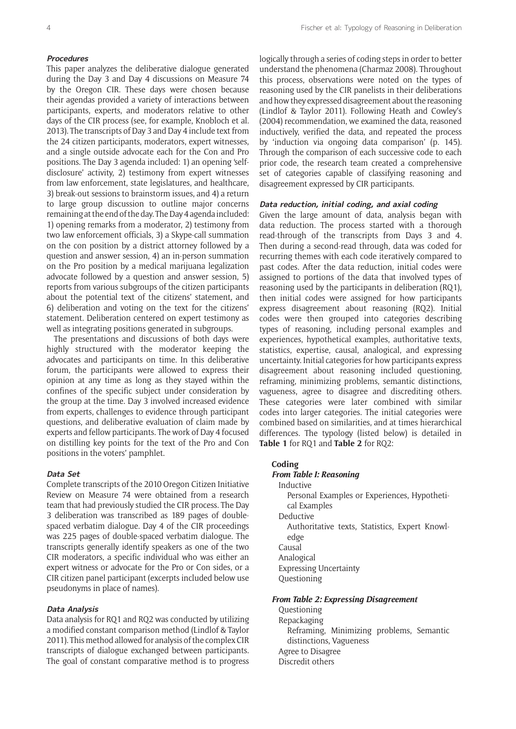#### **Procedures**

This paper analyzes the deliberative dialogue generated during the Day 3 and Day 4 discussions on Measure 74 by the Oregon CIR. These days were chosen because their agendas provided a variety of interactions between participants, experts, and moderators relative to other days of the CIR process (see, for example, Knobloch et al. 2013). The transcripts of Day 3 and Day 4 include text from the 24 citizen participants, moderators, expert witnesses, and a single outside advocate each for the Con and Pro positions. The Day 3 agenda included: 1) an opening 'selfdisclosure' activity, 2) testimony from expert witnesses from law enforcement, state legislatures, and healthcare, 3) break-out sessions to brainstorm issues, and 4) a return to large group discussion to outline major concerns remaining at the end of the day. The Day 4 agenda included: 1) opening remarks from a moderator, 2) testimony from two law enforcement officials, 3) a Skype-call summation on the con position by a district attorney followed by a question and answer session, 4) an in-person summation on the Pro position by a medical marijuana legalization advocate followed by a question and answer session, 5) reports from various subgroups of the citizen participants about the potential text of the citizens' statement, and 6) deliberation and voting on the text for the citizens' statement. Deliberation centered on expert testimony as well as integrating positions generated in subgroups.

The presentations and discussions of both days were highly structured with the moderator keeping the advocates and participants on time. In this deliberative forum, the participants were allowed to express their opinion at any time as long as they stayed within the confines of the specific subject under consideration by the group at the time. Day 3 involved increased evidence from experts, challenges to evidence through participant questions, and deliberative evaluation of claim made by experts and fellow participants. The work of Day 4 focused on distilling key points for the text of the Pro and Con positions in the voters' pamphlet.

#### **Data Set**

Complete transcripts of the 2010 Oregon Citizen Initiative Review on Measure 74 were obtained from a research team that had previously studied the CIR process. The Day 3 deliberation was transcribed as 189 pages of doublespaced verbatim dialogue. Day 4 of the CIR proceedings was 225 pages of double-spaced verbatim dialogue. The transcripts generally identify speakers as one of the two CIR moderators, a specific individual who was either an expert witness or advocate for the Pro or Con sides, or a CIR citizen panel participant (excerpts included below use pseudonyms in place of names).

# **Data Analysis**

Data analysis for RQ1 and RQ2 was conducted by utilizing a modified constant comparison method (Lindlof & Taylor 2011). This method allowed for analysis of the complex CIR transcripts of dialogue exchanged between participants. The goal of constant comparative method is to progress

logically through a series of coding steps in order to better understand the phenomena (Charmaz 2008). Throughout this process, observations were noted on the types of reasoning used by the CIR panelists in their deliberations and how they expressed disagreement about the reasoning (Lindlof & Taylor 2011). Following Heath and Cowley's (2004) recommendation, we examined the data, reasoned inductively, verified the data, and repeated the process by 'induction via ongoing data comparison' (p. 145). Through the comparison of each successive code to each prior code, the research team created a comprehensive set of categories capable of classifying reasoning and disagreement expressed by CIR participants.

# **Data reduction, initial coding, and axial coding**

Given the large amount of data, analysis began with data reduction. The process started with a thorough read-through of the transcripts from Days 3 and 4. Then during a second-read through, data was coded for recurring themes with each code iteratively compared to past codes. After the data reduction, initial codes were assigned to portions of the data that involved types of reasoning used by the participants in deliberation (RQ1), then initial codes were assigned for how participants express disagreement about reasoning (RQ2). Initial codes were then grouped into categories describing types of reasoning, including personal examples and experiences, hypothetical examples, authoritative texts, statistics, expertise, causal, analogical, and expressing uncertainty. Initial categories for how participants express disagreement about reasoning included questioning, reframing, minimizing problems, semantic distinctions, vagueness, agree to disagree and discrediting others. These categories were later combined with similar codes into larger categories. The initial categories were combined based on similarities, and at times hierarchical differences. The typology (listed below) is detailed in **Table 1** for RQ1 and **Table 2** for RQ2:

#### **Coding**

#### *From Table I: Reasoning*

Inductive Personal Examples or Experiences, Hypothetical Examples Deductive Authoritative texts, Statistics, Expert Knowledge Causal Analogical Expressing Uncertainty Questioning

#### *From Table 2: Expressing Disagreement*

Questioning Repackaging Reframing, Minimizing problems, Semantic distinctions, Vagueness Agree to Disagree Discredit others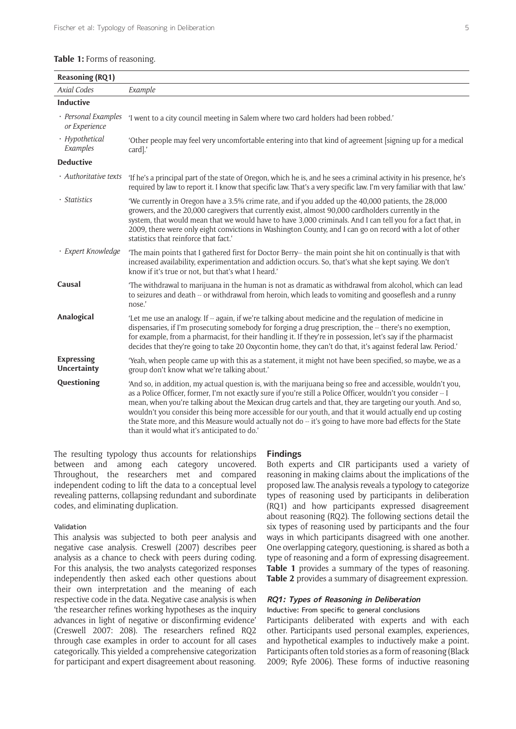#### **Table 1:** Forms of reasoning.

| <b>Reasoning (RQ1)</b>                  |                                                                                                                                                                                                                                                                                                                                                                                                                                                                                                                                                                                                                      |
|-----------------------------------------|----------------------------------------------------------------------------------------------------------------------------------------------------------------------------------------------------------------------------------------------------------------------------------------------------------------------------------------------------------------------------------------------------------------------------------------------------------------------------------------------------------------------------------------------------------------------------------------------------------------------|
| <b>Axial Codes</b>                      | Example                                                                                                                                                                                                                                                                                                                                                                                                                                                                                                                                                                                                              |
| <b>Inductive</b>                        |                                                                                                                                                                                                                                                                                                                                                                                                                                                                                                                                                                                                                      |
| · Personal Examples<br>or Experience    | 'I went to a city council meeting in Salem where two card holders had been robbed.'                                                                                                                                                                                                                                                                                                                                                                                                                                                                                                                                  |
| · Hypothetical<br>Examples              | 'Other people may feel very uncomfortable entering into that kind of agreement [signing up for a medical<br>card].'                                                                                                                                                                                                                                                                                                                                                                                                                                                                                                  |
| <b>Deductive</b>                        |                                                                                                                                                                                                                                                                                                                                                                                                                                                                                                                                                                                                                      |
| · Authoritative texts                   | 'If he's a principal part of the state of Oregon, which he is, and he sees a criminal activity in his presence, he's<br>required by law to report it. I know that specific law. That's a very specific law. I'm very familiar with that law.'                                                                                                                                                                                                                                                                                                                                                                        |
| · Statistics                            | 'We currently in Oregon have a 3.5% crime rate, and if you added up the 40,000 patients, the 28,000<br>growers, and the 20,000 caregivers that currently exist, almost 90,000 cardholders currently in the<br>system, that would mean that we would have to have 3,000 criminals. And I can tell you for a fact that, in<br>2009, there were only eight convictions in Washington County, and I can go on record with a lot of other<br>statistics that reinforce that fact.'                                                                                                                                        |
| · Expert Knowledge                      | The main points that I gathered first for Doctor Berry-- the main point she hit on continually is that with<br>increased availability, experimentation and addiction occurs. So, that's what she kept saying. We don't<br>know if it's true or not, but that's what I heard.'                                                                                                                                                                                                                                                                                                                                        |
| Causal                                  | The withdrawal to marijuana in the human is not as dramatic as withdrawal from alcohol, which can lead<br>to seizures and death -- or withdrawal from heroin, which leads to vomiting and gooseflesh and a runny<br>nose.'                                                                                                                                                                                                                                                                                                                                                                                           |
| Analogical                              | 'Let me use an analogy. If -- again, if we're talking about medicine and the regulation of medicine in<br>dispensaries, if I'm prosecuting somebody for forging a drug prescription, the -- there's no exemption,<br>for example, from a pharmacist, for their handling it. If they're in possession, let's say if the pharmacist<br>decides that they're going to take 20 Oxycontin home, they can't do that, it's against federal law. Period.'                                                                                                                                                                    |
| <b>Expressing</b><br><b>Uncertainty</b> | 'Yeah, when people came up with this as a statement, it might not have been specified, so maybe, we as a<br>group don't know what we're talking about.'                                                                                                                                                                                                                                                                                                                                                                                                                                                              |
| Questioning                             | 'And so, in addition, my actual question is, with the marijuana being so free and accessible, wouldn't you,<br>as a Police Officer, former, I'm not exactly sure if you're still a Police Officer, wouldn't you consider -- I<br>mean, when you're talking about the Mexican drug cartels and that, they are targeting our youth. And so,<br>wouldn't you consider this being more accessible for our youth, and that it would actually end up costing<br>the State more, and this Measure would actually not do -- it's going to have more bad effects for the State<br>than it would what it's anticipated to do.' |

The resulting typology thus accounts for relationships between and among each category uncovered. Throughout, the researchers met and compared independent coding to lift the data to a conceptual level revealing patterns, collapsing redundant and subordinate codes, and eliminating duplication.

#### Validation

This analysis was subjected to both peer analysis and negative case analysis. Creswell (2007) describes peer analysis as a chance to check with peers during coding. For this analysis, the two analysts categorized responses independently then asked each other questions about their own interpretation and the meaning of each respective code in the data. Negative case analysis is when 'the researcher refines working hypotheses as the inquiry advances in light of negative or disconfirming evidence' (Creswell 2007: 208). The researchers refined RQ2 through case examples in order to account for all cases categorically. This yielded a comprehensive categorization for participant and expert disagreement about reasoning.

#### **Findings**

Both experts and CIR participants used a variety of reasoning in making claims about the implications of the proposed law. The analysis reveals a typology to categorize types of reasoning used by participants in deliberation (RQ1) and how participants expressed disagreement about reasoning (RQ2). The following sections detail the six types of reasoning used by participants and the four ways in which participants disagreed with one another. One overlapping category, questioning, is shared as both a type of reasoning and a form of expressing disagreement. **Table 1** provides a summary of the types of reasoning. **Table 2** provides a summary of disagreement expression.

# **RQ1: Types of Reasoning in Deliberation**

Inductive: From specific to general conclusions

Participants deliberated with experts and with each other. Participants used personal examples, experiences, and hypothetical examples to inductively make a point. Participants often told stories as a form of reasoning (Black 2009; Ryfe 2006). These forms of inductive reasoning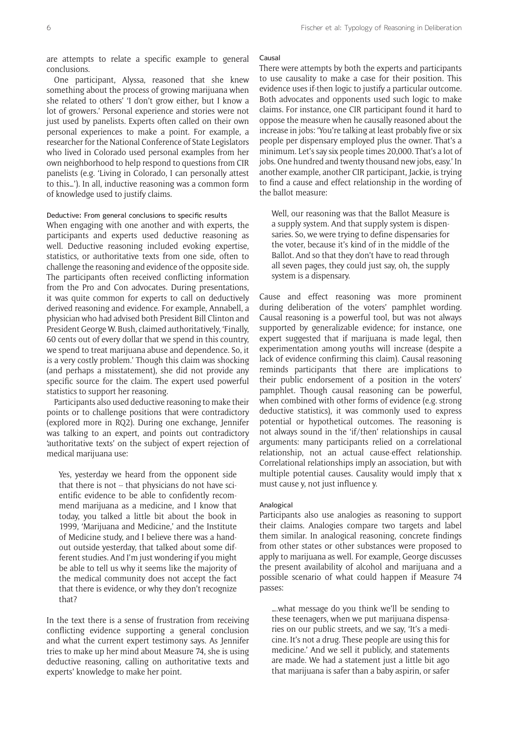are attempts to relate a specific example to general conclusions.

One participant, Alyssa, reasoned that she knew something about the process of growing marijuana when she related to others' 'I don't grow either, but I know a lot of growers.' Personal experience and stories were not just used by panelists. Experts often called on their own personal experiences to make a point. For example, a researcher for the National Conference of State Legislators who lived in Colorado used personal examples from her own neighborhood to help respond to questions from CIR panelists (e.g. 'Living in Colorado, I can personally attest to this…'). In all, inductive reasoning was a common form of knowledge used to justify claims.

# Deductive: From general conclusions to specific results

When engaging with one another and with experts, the participants and experts used deductive reasoning as well. Deductive reasoning included evoking expertise, statistics, or authoritative texts from one side, often to challenge the reasoning and evidence of the opposite side. The participants often received conflicting information from the Pro and Con advocates. During presentations, it was quite common for experts to call on deductively derived reasoning and evidence. For example, Annabell, a physician who had advised both President Bill Clinton and President George W. Bush, claimed authoritatively, 'Finally, 60 cents out of every dollar that we spend in this country, we spend to treat marijuana abuse and dependence. So, it is a very costly problem.' Though this claim was shocking (and perhaps a misstatement), she did not provide any specific source for the claim. The expert used powerful statistics to support her reasoning.

Participants also used deductive reasoning to make their points or to challenge positions that were contradictory (explored more in RQ2). During one exchange, Jennifer was talking to an expert, and points out contradictory 'authoritative texts' on the subject of expert rejection of medical marijuana use:

Yes, yesterday we heard from the opponent side that there is not -- that physicians do not have scientific evidence to be able to confidently recommend marijuana as a medicine, and I know that today, you talked a little bit about the book in 1999, 'Marijuana and Medicine,' and the Institute of Medicine study, and I believe there was a handout outside yesterday, that talked about some different studies. And I'm just wondering if you might be able to tell us why it seems like the majority of the medical community does not accept the fact that there is evidence, or why they don't recognize that?

In the text there is a sense of frustration from receiving conflicting evidence supporting a general conclusion and what the current expert testimony says. As Jennifer tries to make up her mind about Measure 74, she is using deductive reasoning, calling on authoritative texts and experts' knowledge to make her point.

#### Causal

There were attempts by both the experts and participants to use causality to make a case for their position. This evidence uses if-then logic to justify a particular outcome. Both advocates and opponents used such logic to make claims. For instance, one CIR participant found it hard to oppose the measure when he causally reasoned about the increase in jobs: 'You're talking at least probably five or six people per dispensary employed plus the owner. That's a minimum. Let's say six people times 20,000. That's a lot of jobs. One hundred and twenty thousand new jobs, easy.' In another example, another CIR participant, Jackie, is trying to find a cause and effect relationship in the wording of the ballot measure:

Well, our reasoning was that the Ballot Measure is a supply system. And that supply system is dispensaries. So, we were trying to define dispensaries for the voter, because it's kind of in the middle of the Ballot. And so that they don't have to read through all seven pages, they could just say, oh, the supply system is a dispensary.

Cause and effect reasoning was more prominent during deliberation of the voters' pamphlet wording. Causal reasoning is a powerful tool, but was not always supported by generalizable evidence; for instance, one expert suggested that if marijuana is made legal, then experimentation among youths will increase (despite a lack of evidence confirming this claim). Causal reasoning reminds participants that there are implications to their public endorsement of a position in the voters' pamphlet. Though causal reasoning can be powerful, when combined with other forms of evidence (e.g. strong deductive statistics), it was commonly used to express potential or hypothetical outcomes. The reasoning is not always sound in the 'if/then' relationships in causal arguments: many participants relied on a correlational relationship, not an actual cause-effect relationship. Correlational relationships imply an association, but with multiple potential causes. Causality would imply that x must cause y, not just influence y.

#### Analogical

Participants also use analogies as reasoning to support their claims. Analogies compare two targets and label them similar. In analogical reasoning, concrete findings from other states or other substances were proposed to apply to marijuana as well. For example, George discusses the present availability of alcohol and marijuana and a possible scenario of what could happen if Measure 74 passes:

….what message do you think we'll be sending to these teenagers, when we put marijuana dispensaries on our public streets, and we say, 'It's a medicine. It's not a drug. These people are using this for medicine.' And we sell it publicly, and statements are made. We had a statement just a little bit ago that marijuana is safer than a baby aspirin, or safer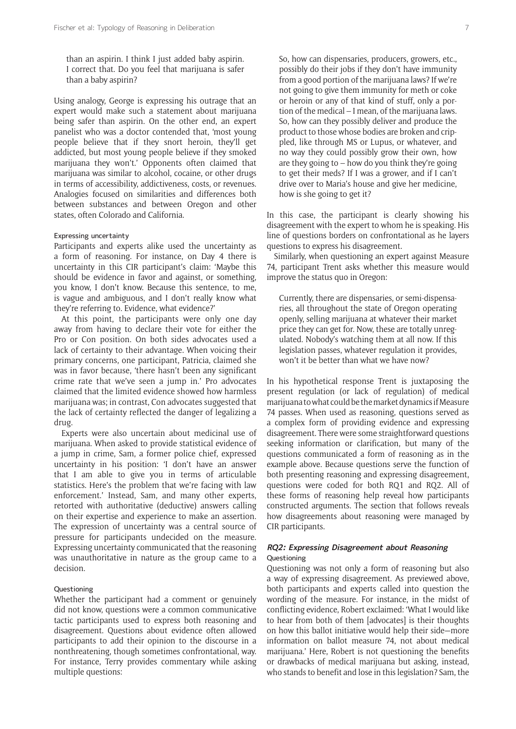than an aspirin. I think I just added baby aspirin. I correct that. Do you feel that marijuana is safer than a baby aspirin?

Using analogy, George is expressing his outrage that an expert would make such a statement about marijuana being safer than aspirin. On the other end, an expert panelist who was a doctor contended that, 'most young people believe that if they snort heroin, they'll get addicted, but most young people believe if they smoked marijuana they won't.' Opponents often claimed that marijuana was similar to alcohol, cocaine, or other drugs in terms of accessibility, addictiveness, costs, or revenues. Analogies focused on similarities and differences both between substances and between Oregon and other states, often Colorado and California.

# Expressing uncertainty

Participants and experts alike used the uncertainty as a form of reasoning. For instance, on Day 4 there is uncertainty in this CIR participant's claim: 'Maybe this should be evidence in favor and against, or something, you know, I don't know. Because this sentence, to me, is vague and ambiguous, and I don't really know what they're referring to. Evidence, what evidence?'

At this point, the participants were only one day away from having to declare their vote for either the Pro or Con position. On both sides advocates used a lack of certainty to their advantage. When voicing their primary concerns, one participant, Patricia, claimed she was in favor because, 'there hasn't been any significant crime rate that we've seen a jump in.' Pro advocates claimed that the limited evidence showed how harmless marijuana was; in contrast, Con advocates suggested that the lack of certainty reflected the danger of legalizing a drug.

Experts were also uncertain about medicinal use of marijuana. When asked to provide statistical evidence of a jump in crime, Sam, a former police chief, expressed uncertainty in his position: 'I don't have an answer that I am able to give you in terms of articulable statistics. Here's the problem that we're facing with law enforcement.' Instead, Sam, and many other experts, retorted with authoritative (deductive) answers calling on their expertise and experience to make an assertion. The expression of uncertainty was a central source of pressure for participants undecided on the measure. Expressing uncertainty communicated that the reasoning was unauthoritative in nature as the group came to a decision.

#### Questioning

Whether the participant had a comment or genuinely did not know, questions were a common communicative tactic participants used to express both reasoning and disagreement. Questions about evidence often allowed participants to add their opinion to the discourse in a nonthreatening, though sometimes confrontational, way. For instance, Terry provides commentary while asking multiple questions:

So, how can dispensaries, producers, growers, etc., possibly do their jobs if they don't have immunity from a good portion of the marijuana laws? If we're not going to give them immunity for meth or coke or heroin or any of that kind of stuff, only a portion of the medical – I mean, of the marijuana laws. So, how can they possibly deliver and produce the product to those whose bodies are broken and crippled, like through MS or Lupus, or whatever, and no way they could possibly grow their own, how are they going to  $-$  how do you think they're going to get their meds? If I was a grower, and if I can't drive over to Maria's house and give her medicine, how is she going to get it?

In this case, the participant is clearly showing his disagreement with the expert to whom he is speaking. His line of questions borders on confrontational as he layers questions to express his disagreement.

Similarly, when questioning an expert against Measure 74, participant Trent asks whether this measure would improve the status quo in Oregon:

Currently, there are dispensaries, or semi-dispensaries, all throughout the state of Oregon operating openly, selling marijuana at whatever their market price they can get for. Now, these are totally unregulated. Nobody's watching them at all now. If this legislation passes, whatever regulation it provides, won't it be better than what we have now?

In his hypothetical response Trent is juxtaposing the present regulation (or lack of regulation) of medical marijuana to what could be the market dynamics if Measure 74 passes. When used as reasoning, questions served as a complex form of providing evidence and expressing disagreement. There were some straightforward questions seeking information or clarification, but many of the questions communicated a form of reasoning as in the example above. Because questions serve the function of both presenting reasoning and expressing disagreement, questions were coded for both RQ1 and RQ2. All of these forms of reasoning help reveal how participants constructed arguments. The section that follows reveals how disagreements about reasoning were managed by CIR participants.

# **RQ2: Expressing Disagreement about Reasoning** Questioning

Questioning was not only a form of reasoning but also a way of expressing disagreement. As previewed above, both participants and experts called into question the wording of the measure. For instance, in the midst of conflicting evidence, Robert exclaimed: 'What I would like to hear from both of them [advocates] is their thoughts on how this ballot initiative would help their side—more information on ballot measure 74, not about medical marijuana.' Here, Robert is not questioning the benefits or drawbacks of medical marijuana but asking, instead, who stands to benefit and lose in this legislation? Sam, the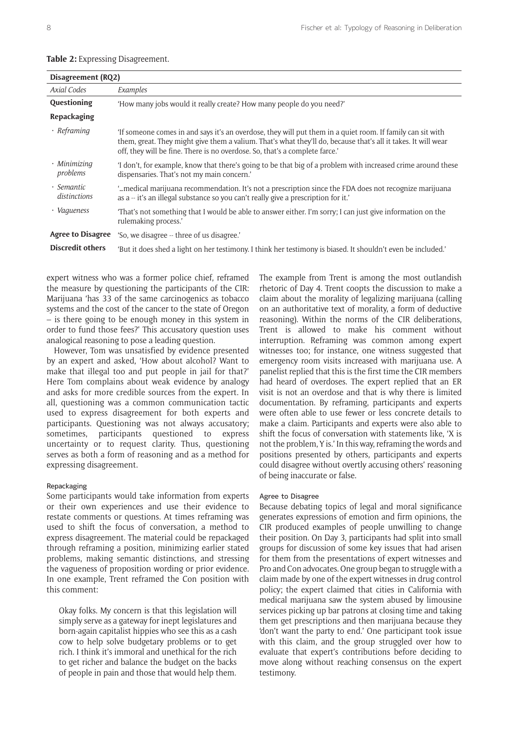| Disagreement (RQ2)         |                                                                                                                                                                                                                                                                                                           |
|----------------------------|-----------------------------------------------------------------------------------------------------------------------------------------------------------------------------------------------------------------------------------------------------------------------------------------------------------|
| Axial Codes                | Examples                                                                                                                                                                                                                                                                                                  |
| Questioning                | 'How many jobs would it really create? How many people do you need?'                                                                                                                                                                                                                                      |
| Repackaging                |                                                                                                                                                                                                                                                                                                           |
| $\cdot$ Reframing          | If someone comes in and says it's an overdose, they will put them in a quiet room. If family can sit with<br>them, great. They might give them a valium. That's what they'll do, because that's all it takes. It will wear<br>off, they will be fine. There is no overdose. So, that's a complete farce.' |
| · Minimizing<br>problems   | 'I don't, for example, know that there's going to be that big of a problem with increased crime around these<br>dispensaries. That's not my main concern.'                                                                                                                                                |
| • Semantic<br>distinctions | medical marijuana recommendation. It's not a prescription since the FDA does not recognize marijuana"<br>as a -- it's an illegal substance so you can't really give a prescription for it.'                                                                                                               |
| · Vagueness                | That's not something that I would be able to answer either. I'm sorry; I can just give information on the<br>rulemaking process.'                                                                                                                                                                         |
| <b>Agree to Disagree</b>   | 'So, we disagree -- three of us disagree.'                                                                                                                                                                                                                                                                |
| <b>Discredit others</b>    | 'But it does shed a light on her testimony. I think her testimony is biased. It shouldn't even be included.'                                                                                                                                                                                              |

# **Table 2:** Expressing Disagreement.

expert witness who was a former police chief, reframed the measure by questioning the participants of the CIR: Marijuana 'has 33 of the same carcinogenics as tobacco systems and the cost of the cancer to the state of Oregon – is there going to be enough money in this system in order to fund those fees?' This accusatory question uses analogical reasoning to pose a leading question.

However, Tom was unsatisfied by evidence presented by an expert and asked, 'How about alcohol? Want to make that illegal too and put people in jail for that?' Here Tom complains about weak evidence by analogy and asks for more credible sources from the expert. In all, questioning was a common communication tactic used to express disagreement for both experts and participants. Questioning was not always accusatory; sometimes, participants questioned to express uncertainty or to request clarity. Thus, questioning serves as both a form of reasoning and as a method for expressing disagreement.

#### Repackaging

Some participants would take information from experts or their own experiences and use their evidence to restate comments or questions. At times reframing was used to shift the focus of conversation, a method to express disagreement. The material could be repackaged through reframing a position, minimizing earlier stated problems, making semantic distinctions, and stressing the vagueness of proposition wording or prior evidence. In one example, Trent reframed the Con position with this comment:

Okay folks. My concern is that this legislation will simply serve as a gateway for inept legislatures and born-again capitalist hippies who see this as a cash cow to help solve budgetary problems or to get rich. I think it's immoral and unethical for the rich to get richer and balance the budget on the backs of people in pain and those that would help them.

The example from Trent is among the most outlandish rhetoric of Day 4. Trent coopts the discussion to make a claim about the morality of legalizing marijuana (calling on an authoritative text of morality, a form of deductive reasoning). Within the norms of the CIR deliberations, Trent is allowed to make his comment without interruption. Reframing was common among expert witnesses too; for instance, one witness suggested that emergency room visits increased with marijuana use. A panelist replied that this is the first time the CIR members had heard of overdoses. The expert replied that an ER visit is not an overdose and that is why there is limited documentation. By reframing, participants and experts were often able to use fewer or less concrete details to make a claim. Participants and experts were also able to shift the focus of conversation with statements like, 'X is not the problem, Y is.' In this way, reframing the words and positions presented by others, participants and experts could disagree without overtly accusing others' reasoning of being inaccurate or false.

#### Agree to Disagree

Because debating topics of legal and moral significance generates expressions of emotion and firm opinions, the CIR produced examples of people unwilling to change their position. On Day 3, participants had split into small groups for discussion of some key issues that had arisen for them from the presentations of expert witnesses and Pro and Con advocates. One group began to struggle with a claim made by one of the expert witnesses in drug control policy; the expert claimed that cities in California with medical marijuana saw the system abused by limousine services picking up bar patrons at closing time and taking them get prescriptions and then marijuana because they 'don't want the party to end.' One participant took issue with this claim, and the group struggled over how to evaluate that expert's contributions before deciding to move along without reaching consensus on the expert testimony.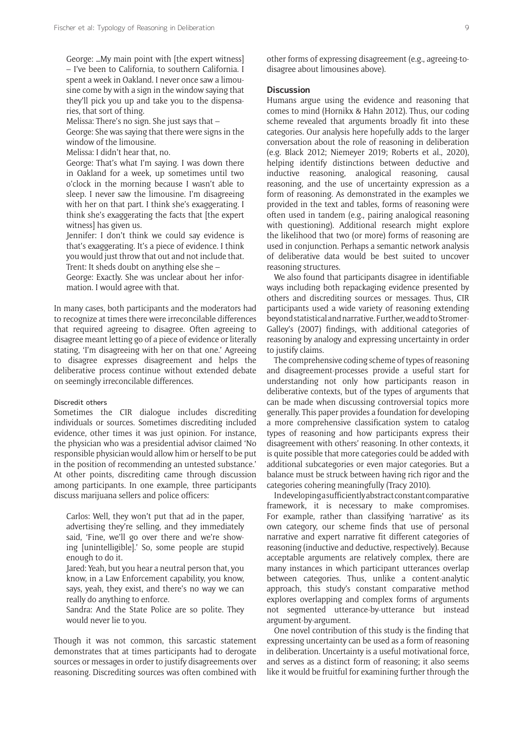George: …My main point with [the expert witness] – I've been to California, to southern California. I spent a week in Oakland. I never once saw a limousine come by with a sign in the window saying that they'll pick you up and take you to the dispensaries, that sort of thing.

Melissa: There's no sign. She just says that –

George: She was saying that there were signs in the window of the limousine.

Melissa: I didn't hear that, no.

George: That's what I'm saying. I was down there in Oakland for a week, up sometimes until two o'clock in the morning because I wasn't able to sleep. I never saw the limousine. I'm disagreeing with her on that part. I think she's exaggerating. I think she's exaggerating the facts that [the expert witness] has given us.

Jennifer: I don't think we could say evidence is that's exaggerating. It's a piece of evidence. I think you would just throw that out and not include that. Trent: It sheds doubt on anything else she –

George: Exactly. She was unclear about her information. I would agree with that.

In many cases, both participants and the moderators had to recognize at times there were irreconcilable differences that required agreeing to disagree. Often agreeing to disagree meant letting go of a piece of evidence or literally stating, 'I'm disagreeing with her on that one.' Agreeing to disagree expresses disagreement and helps the deliberative process continue without extended debate on seemingly irreconcilable differences.

#### Discredit others

Sometimes the CIR dialogue includes discrediting individuals or sources. Sometimes discrediting included evidence, other times it was just opinion. For instance, the physician who was a presidential advisor claimed 'No responsible physician would allow him or herself to be put in the position of recommending an untested substance.' At other points, discrediting came through discussion among participants. In one example, three participants discuss marijuana sellers and police officers:

Carlos: Well, they won't put that ad in the paper, advertising they're selling, and they immediately said, 'Fine, we'll go over there and we're showing [unintelligible].' So, some people are stupid enough to do it.

Jared: Yeah, but you hear a neutral person that, you know, in a Law Enforcement capability, you know, says, yeah, they exist, and there's no way we can really do anything to enforce.

Sandra: And the State Police are so polite. They would never lie to you.

Though it was not common, this sarcastic statement demonstrates that at times participants had to derogate sources or messages in order to justify disagreements over reasoning. Discrediting sources was often combined with other forms of expressing disagreement (e.g., agreeing-todisagree about limousines above).

# **Discussion**

Humans argue using the evidence and reasoning that comes to mind (Hornikx & Hahn 2012). Thus, our coding scheme revealed that arguments broadly fit into these categories. Our analysis here hopefully adds to the larger conversation about the role of reasoning in deliberation (e.g. Black 2012; Niemeyer 2019; Roberts et al., 2020), helping identify distinctions between deductive and inductive reasoning, analogical reasoning, causal reasoning, and the use of uncertainty expression as a form of reasoning. As demonstrated in the examples we provided in the text and tables, forms of reasoning were often used in tandem (e.g., pairing analogical reasoning with questioning). Additional research might explore the likelihood that two (or more) forms of reasoning are used in conjunction. Perhaps a semantic network analysis of deliberative data would be best suited to uncover reasoning structures.

We also found that participants disagree in identifiable ways including both repackaging evidence presented by others and discrediting sources or messages. Thus, CIR participants used a wide variety of reasoning extending beyond statistical and narrative. Further, we add to Stromer-Galley's (2007) findings, with additional categories of reasoning by analogy and expressing uncertainty in order to justify claims.

The comprehensive coding scheme of types of reasoning and disagreement-processes provide a useful start for understanding not only how participants reason in deliberative contexts, but of the types of arguments that can be made when discussing controversial topics more generally. This paper provides a foundation for developing a more comprehensive classification system to catalog types of reasoning and how participants express their disagreement with others' reasoning. In other contexts, it is quite possible that more categories could be added with additional subcategories or even major categories. But a balance must be struck between having rich rigor and the categories cohering meaningfully (Tracy 2010).

In developing a sufficiently abstract constant comparative framework, it is necessary to make compromises. For example, rather than classifying 'narrative' as its own category, our scheme finds that use of personal narrative and expert narrative fit different categories of reasoning (inductive and deductive, respectively). Because acceptable arguments are relatively complex, there are many instances in which participant utterances overlap between categories. Thus, unlike a content-analytic approach, this study's constant comparative method explores overlapping and complex forms of arguments not segmented utterance-by-utterance but instead argument-by-argument.

One novel contribution of this study is the finding that expressing uncertainty can be used as a form of reasoning in deliberation. Uncertainty is a useful motivational force, and serves as a distinct form of reasoning; it also seems like it would be fruitful for examining further through the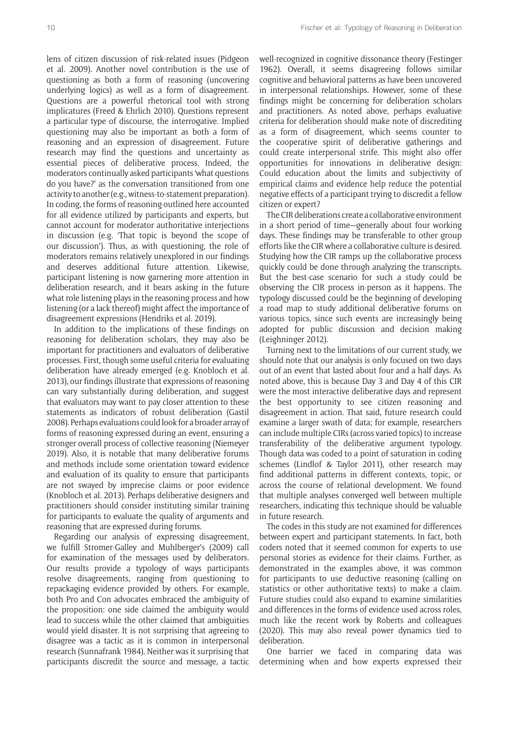lens of citizen discussion of risk-related issues (Pidgeon et al. 2009). Another novel contribution is the use of questioning as both a form of reasoning (uncovering underlying logics) as well as a form of disagreement. Questions are a powerful rhetorical tool with strong implicatures (Freed & Ehrlich 2010). Questions represent a particular type of discourse, the interrogative. Implied questioning may also be important as both a form of reasoning and an expression of disagreement. Future research may find the questions and uncertainty as essential pieces of deliberative process. Indeed, the moderators continually asked participants 'what questions do you have?' as the conversation transitioned from one activity to another (e.g., witness-to-statement preparation). In coding, the forms of reasoning outlined here accounted for all evidence utilized by participants and experts, but cannot account for moderator authoritative interjections in discussion (e.g. 'That topic is beyond the scope of our discussion'). Thus, as with questioning, the role of moderators remains relatively unexplored in our findings and deserves additional future attention. Likewise, participant listening is now garnering more attention in deliberation research, and it bears asking in the future what role listening plays in the reasoning process and how listening (or a lack thereof) might affect the importance of disagreement expressions (Hendriks et al. 2019).

In addition to the implications of these findings on reasoning for deliberation scholars, they may also be important for practitioners and evaluators of deliberative processes. First, though some useful criteria for evaluating deliberation have already emerged (e.g. Knobloch et al. 2013), our findings illustrate that expressions of reasoning can vary substantially during deliberation, and suggest that evaluators may want to pay closer attention to these statements as indicators of robust deliberation (Gastil 2008). Perhaps evaluations could look for a broader array of forms of reasoning expressed during an event, ensuring a stronger overall process of collective reasoning (Niemeyer 2019). Also, it is notable that many deliberative forums and methods include some orientation toward evidence and evaluation of its quality to ensure that participants are not swayed by imprecise claims or poor evidence (Knobloch et al. 2013). Perhaps deliberative designers and practitioners should consider instituting similar training for participants to evaluate the quality of arguments and reasoning that are expressed during forums.

Regarding our analysis of expressing disagreement, we fulfill Stromer-Galley and Muhlberger's (2009) call for examination of the messages used by deliberators. Our results provide a typology of ways participants resolve disagreements, ranging from questioning to repackaging evidence provided by others. For example, both Pro and Con advocates embraced the ambiguity of the proposition: one side claimed the ambiguity would lead to success while the other claimed that ambiguities would yield disaster. It is not surprising that agreeing to disagree was a tactic as it is common in interpersonal research (Sunnafrank 1984). Neither was it surprising that participants discredit the source and message, a tactic

well-recognized in cognitive dissonance theory (Festinger 1962). Overall, it seems disagreeing follows similar cognitive and behavioral patterns as have been uncovered in interpersonal relationships. However, some of these findings might be concerning for deliberation scholars and practitioners. As noted above, perhaps evaluative criteria for deliberation should make note of discrediting as a form of disagreement, which seems counter to the cooperative spirit of deliberative gatherings and could create interpersonal strife. This might also offer opportunities for innovations in deliberative design: Could education about the limits and subjectivity of empirical claims and evidence help reduce the potential negative effects of a participant trying to discredit a fellow citizen or expert?

The CIR deliberations create a collaborative environment in a short period of time—generally about four working days. These findings may be transferable to other group efforts like the CIR where a collaborative culture is desired. Studying how the CIR ramps up the collaborative process quickly could be done through analyzing the transcripts. But the best-case scenario for such a study could be observing the CIR process in-person as it happens. The typology discussed could be the beginning of developing a road map to study additional deliberative forums on various topics, since such events are increasingly being adopted for public discussion and decision making (Leighninger 2012).

Turning next to the limitations of our current study, we should note that our analysis is only focused on two days out of an event that lasted about four and a half days. As noted above, this is because Day 3 and Day 4 of this CIR were the most interactive deliberative days and represent the best opportunity to see citizen reasoning and disagreement in action. That said, future research could examine a larger swath of data; for example, researchers can include multiple CIRs (across varied topics) to increase transferability of the deliberative argument typology. Though data was coded to a point of saturation in coding schemes (Lindlof & Taylor 2011), other research may find additional patterns in different contexts, topic, or across the course of relational development. We found that multiple analyses converged well between multiple researchers, indicating this technique should be valuable in future research.

The codes in this study are not examined for differences between expert and participant statements. In fact, both coders noted that it seemed common for experts to use personal stories as evidence for their claims. Further, as demonstrated in the examples above, it was common for participants to use deductive reasoning (calling on statistics or other authoritative texts) to make a claim. Future studies could also expand to examine similarities and differences in the forms of evidence used across roles, much like the recent work by Roberts and colleagues (2020). This may also reveal power dynamics tied to deliberation.

One barrier we faced in comparing data was determining when and how experts expressed their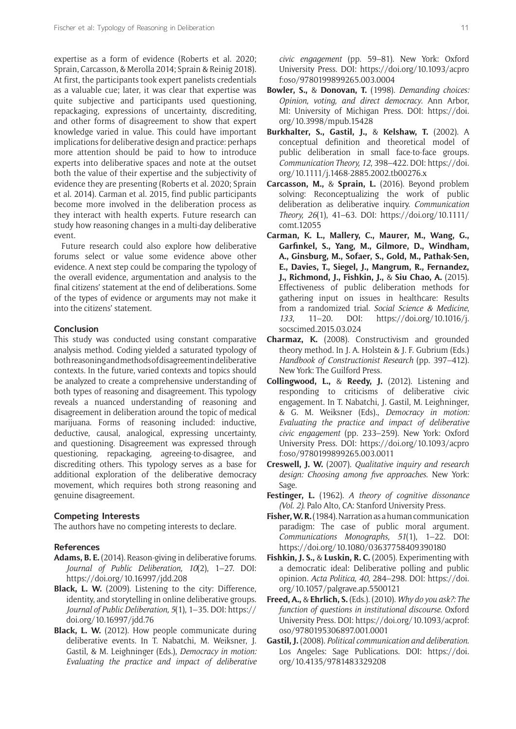expertise as a form of evidence (Roberts et al. 2020; Sprain, Carcasson, & Merolla 2014; Sprain & Reinig 2018). At first, the participants took expert panelists credentials as a valuable cue; later, it was clear that expertise was quite subjective and participants used questioning, repackaging, expressions of uncertainty, discrediting, and other forms of disagreement to show that expert knowledge varied in value. This could have important implications for deliberative design and practice: perhaps more attention should be paid to how to introduce experts into deliberative spaces and note at the outset both the value of their expertise and the subjectivity of evidence they are presenting (Roberts et al. 2020; Sprain et al. 2014). Carman et al. 2015, find public participants become more involved in the deliberation process as they interact with health experts. Future research can study how reasoning changes in a multi-day deliberative event.

Future research could also explore how deliberative forums select or value some evidence above other evidence. A next step could be comparing the typology of the overall evidence, argumentation and analysis to the final citizens' statement at the end of deliberations. Some of the types of evidence or arguments may not make it into the citizens' statement.

#### **Conclusion**

This study was conducted using constant comparative analysis method. Coding yielded a saturated typology of both reasoning and methods of disagreement in deliberative contexts. In the future, varied contexts and topics should be analyzed to create a comprehensive understanding of both types of reasoning and disagreement. This typology reveals a nuanced understanding of reasoning and disagreement in deliberation around the topic of medical marijuana. Forms of reasoning included: inductive, deductive, causal, analogical, expressing uncertainty, and questioning. Disagreement was expressed through questioning, repackaging, agreeing-to-disagree, and discrediting others. This typology serves as a base for additional exploration of the deliberative democracy movement, which requires both strong reasoning and genuine disagreement.

# **Competing Interests**

The authors have no competing interests to declare.

# **References**

- **Adams, B. E.** (2014). Reason-giving in deliberative forums. *Journal of Public Deliberation, 10*(2), 1–27. DOI: <https://doi.org/10.16997/jdd.208>
- **Black, L. W.** (2009). Listening to the city: Difference, identity, and storytelling in online deliberative groups. *Journal of Public Deliberation, 5*(1), 1–35. DOI: [https://](https://doi.org/10.16997/jdd.76) [doi.org/10.16997/jdd.76](https://doi.org/10.16997/jdd.76)
- **Black, L. W.** (2012). How people communicate during deliberative events. In T. Nabatchi, M. Weiksner, J. Gastil, & M. Leighninger (Eds.), *Democracy in motion: Evaluating the practice and impact of deliberative*

*civic engagement* (pp. 59–81). New York: Oxford University Press. DOI: [https://doi.org/10.1093/acpro](https://doi.org/10.1093/acprof:oso/9780199899265.003.0004) [f:oso/9780199899265.003.0004](https://doi.org/10.1093/acprof:oso/9780199899265.003.0004)

- **Bowler, S.,** & **Donovan, T.** (1998). *Demanding choices: Opinion, voting, and direct democracy*. Ann Arbor, MI: University of Michigan Press. DOI: [https://doi.](https://doi.org/10.3998/mpub.15428) [org/10.3998/mpub.15428](https://doi.org/10.3998/mpub.15428)
- **Burkhalter, S., Gastil, J.,** & **Kelshaw, T.** (2002). A conceptual definition and theoretical model of public deliberation in small face-to-face groups. *Communication Theory, 12*, 398–422. DOI: [https://doi.](https://doi.org/10.1111/j.1468-2885.2002.tb00276.x) [org/10.1111/j.1468-2885.2002.tb00276.x](https://doi.org/10.1111/j.1468-2885.2002.tb00276.x)
- **Carcasson, M.,** & **Sprain, L.** (2016). Beyond problem solving: Reconceptualizing the work of public deliberation as deliberative inquiry. *Communication Theory, 26*(1), 41–63. DOI: [https://doi.org/10.1111/](https://doi.org/10.1111/comt.12055) [comt.12055](https://doi.org/10.1111/comt.12055)
- **Carman, K. L., Mallery, C., Maurer, M., Wang, G., Garfinkel, S., Yang, M., Gilmore, D., Windham, A., Ginsburg, M., Sofaer, S., Gold, M., Pathak-Sen, E., Davies, T., Siegel, J., Mangrum, R., Fernandez, J., Richmond, J., Fishkin, J.,** & **Siu Chao, A.** (2015). Effectiveness of public deliberation methods for gathering input on issues in healthcare: Results from a randomized trial. *Social Science & Medicine*, *133*, 11–20. DOI: [https://doi.org/10.1016/j.](https://doi.org/10.1016/j.socscimed.2015.03.024) [socscimed.2015.03.024](https://doi.org/10.1016/j.socscimed.2015.03.024)
- **Charmaz, K.** (2008). Constructivism and grounded theory method. In J. A. Holstein & J. F. Gubrium (Eds.) *Handbook of Constructionist Research* (pp. 397–412). New York: The Guilford Press.
- **Collingwood, L.,** & **Reedy, J.** (2012). Listening and responding to criticisms of deliberative civic engagement. In T. Nabatchi, J. Gastil, M. Leighninger, & G. M. Weiksner (Eds)., *Democracy in motion: Evaluating the practice and impact of deliberative civic engagement* (pp. 233–259). New York: Oxford University Press. DOI: [https://doi.org/10.1093/acpro](https://doi.org/10.1093/acprof:oso/9780199899265.003.0011) [f:oso/9780199899265.003.0011](https://doi.org/10.1093/acprof:oso/9780199899265.003.0011)
- **Creswell, J. W.** (2007). *Qualitative inquiry and research design: Choosing among five approaches*. New York: Sage.
- **Festinger, L.** (1962). *A theory of cognitive dissonance (Vol. 2)*. Palo Alto, CA: Stanford University Press.
- **Fisher, W. R.** (1984). Narration as a human communication paradigm: The case of public moral argument. *Communications Monographs, 51*(1), 1–22. DOI: <https://doi.org/10.1080/03637758409390180>
- **Fishkin, J. S.,** & **Luskin, R. C.** (2005). Experimenting with a democratic ideal: Deliberative polling and public opinion. *Acta Politica, 40*, 284–298. DOI: [https://doi.](https://doi.org/10.1057/palgrave.ap.5500121) [org/10.1057/palgrave.ap.5500121](https://doi.org/10.1057/palgrave.ap.5500121)
- **Freed, A.,** & **Ehrlich, S.** (Eds.). (2010). *Why do you ask?: The function of questions in institutional discourse*. Oxford University Press. DOI: [https://doi.org/10.1093/acprof:](https://doi.org/10.1093/acprof:oso/9780195306897.001.0001) [oso/9780195306897.001.0001](https://doi.org/10.1093/acprof:oso/9780195306897.001.0001)
- **Gastil, J.** (2008). *Political communication and deliberation*. Los Angeles: Sage Publications. DOI: [https://doi.](https://doi.org/10.4135/9781483329208) [org/10.4135/9781483329208](https://doi.org/10.4135/9781483329208)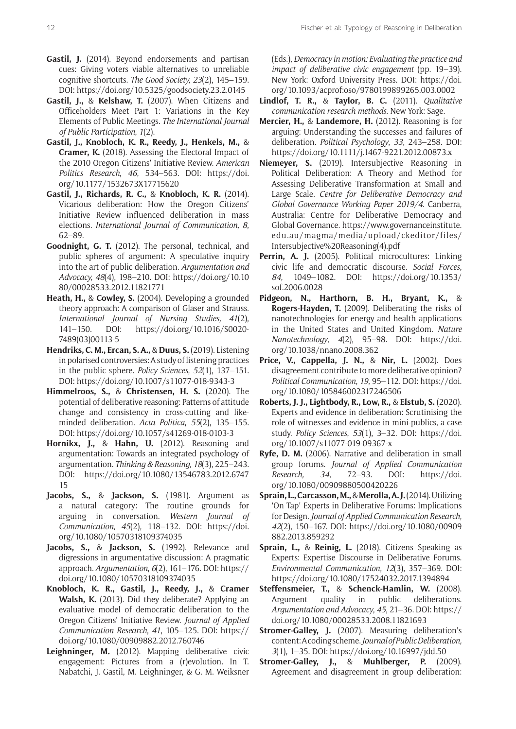- **Gastil, J.** (2014). Beyond endorsements and partisan cues: Giving voters viable alternatives to unreliable cognitive shortcuts. *The Good Society, 23*(2), 145–159. DOI: <https://doi.org/10.5325/goodsociety.23.2.0145>
- **Gastil, J.,** & **Kelshaw, T.** (2007). When Citizens and Officeholders Meet Part 1: Variations in the Key Elements of Public Meetings. *The International Journal of Public Participation*, *1*(2).
- **Gastil, J., Knobloch, K. R., Reedy, J., Henkels, M.,** & **Cramer, K.** (2018). Assessing the Electoral Impact of the 2010 Oregon Citizens' Initiative Review. *American Politics Research*, *46*, 534–563. DOI: [https://doi.](https://doi.org/10.1177/1532673X17715620) [org/10.1177/1532673X17715620](https://doi.org/10.1177/1532673X17715620)
- **Gastil, J., Richards, R. C.,** & **Knobloch, K. R.** (2014). Vicarious deliberation: How the Oregon Citizens' Initiative Review influenced deliberation in mass elections. *International Journal of Communication, 8*, 62–89.
- **Goodnight, G. T.** (2012). The personal, technical, and public spheres of argument: A speculative inquiry into the art of public deliberation. *Argumentation and Advocacy, 48*(4), 198–210. DOI: [https://doi.org/10.10](https://doi.org/10.1080/00028533.2012.11821771) [80/00028533.2012.11821771](https://doi.org/10.1080/00028533.2012.11821771)
- **Heath, H.,** & **Cowley, S.** (2004). Developing a grounded theory approach: A comparison of Glaser and Strauss. *International Journal of Nursing Studies, 41*(2), 141–150. DOI: [https://doi.org/10.1016/S0020-](https://doi.org/10.1016/S0020-7489(03)00113-5) [7489\(03\)00113-5](https://doi.org/10.1016/S0020-7489(03)00113-5)
- **Hendriks, C. M., Ercan, S. A.,** & **Duus, S.** (2019). Listening in polarised controversies: A study of listening practices in the public sphere. *Policy Sciences*, *52*(1), 137–151. DOI: <https://doi.org/10.1007/s11077-018-9343-3>
- **Himmelroos, S.,** & **Christensen, H. S.** (2020). The potential of deliberative reasoning: Patterns of attitude change and consistency in cross-cutting and likeminded deliberation. *Acta Politica*, *55*(2), 135–155. DOI: <https://doi.org/10.1057/s41269-018-0103-3>
- **Hornikx, J.,** & **Hahn, U.** (2012). Reasoning and argumentation: Towards an integrated psychology of argumentation. *Thinking & Reasoning, 18*(3), 225–243. DOI: [https://doi.org/10.1080/13546783.2012.6747](https://doi.org/10.1080/13546783.2012.674715) [15](https://doi.org/10.1080/13546783.2012.674715)
- **Jacobs, S.,** & **Jackson, S.** (1981). Argument as a natural category: The routine grounds for arguing in conversation. *Western Journal of Communication, 45*(2), 118–132. DOI: [https://doi.](https://doi.org/10.1080/10570318109374035) [org/10.1080/10570318109374035](https://doi.org/10.1080/10570318109374035)
- **Jacobs, S.,** & **Jackson, S.** (1992). Relevance and digressions in argumentative discussion: A pragmatic approach. *Argumentation*, *6*(2), 161–176. DOI: [https://](https://doi.org/10.1080/10570318109374035) [doi.org/10.1080/10570318109374035](https://doi.org/10.1080/10570318109374035)
- **Knobloch, K. R., Gastil, J., Reedy, J.,** & **Cramer Walsh, K.** (2013). Did they deliberate? Applying an evaluative model of democratic deliberation to the Oregon Citizens' Initiative Review. *Journal of Applied Communication Research*, *41*, 105–125. DOI: [https://](https://doi.org/10.1080/00909882.2012.760746) [doi.org/10.1080/00909882.2012.760746](https://doi.org/10.1080/00909882.2012.760746)
- **Leighninger, M.** (2012). Mapping deliberative civic engagement: Pictures from a (r)evolution. In T. Nabatchi, J. Gastil, M. Leighninger, & G. M. Weiksner

(Eds.), *Democracy in motion: Evaluating the practice and impact of deliberative civic engagement* (pp. 19–39). New York: Oxford University Press. DOI: [https://doi.](https://doi.org/10.1093/acprof:oso/9780199899265.003.0002) [org/10.1093/acprof:oso/9780199899265.003.0002](https://doi.org/10.1093/acprof:oso/9780199899265.003.0002)

- **Lindlof, T. R.,** & **Taylor, B. C.** (2011). *Qualitative communication research methods.* New York: Sage.
- **Mercier, H.,** & **Landemore, H.** (2012). Reasoning is for arguing: Understanding the successes and failures of deliberation. *Political Psychology*, *33*, 243–258. DOI: <https://doi.org/10.1111/j.1467-9221.2012.00873.x>
- **Niemeyer, S.** (2019). Intersubjective Reasoning in Political Deliberation: A Theory and Method for Assessing Deliberative Transformation at Small and Large Scale. *Centre for Deliberative Democracy and Global Governance Working Paper 2019/4*. Canberra, Australia: Centre for Deliberative Democracy and Global Governance. [https://www.governanceinstitute.](https://www.governanceinstitute.edu.au/magma/media/upload/ckeditor/files/Intersubjective%20Reasoning(4).pdf) [edu.au/magma/media/upload/ckeditor/files/](https://www.governanceinstitute.edu.au/magma/media/upload/ckeditor/files/Intersubjective%20Reasoning(4).pdf) [Intersubjective%20Reasoning\(4\).pdf](https://www.governanceinstitute.edu.au/magma/media/upload/ckeditor/files/Intersubjective%20Reasoning(4).pdf)
- Perrin, A. J. (2005). Political microcultures: Linking civic life and democratic discourse. *Social Forces, 84*, 1049–1082. DOI: [https://doi.org/10.1353/](https://doi.org/10.1353/sof.2006.0028) [sof.2006.0028](https://doi.org/10.1353/sof.2006.0028)
- **Pidgeon, N., Harthorn, B. H., Bryant, K.,** & **Rogers-Hayden, T.** (2009). Deliberating the risks of nanotechnologies for energy and health applications in the United States and United Kingdom. *Nature Nanotechnology*, *4*(2), 95–98. DOI: [https://doi.](https://doi.org/10.1038/nnano.2008.362) [org/10.1038/nnano.2008.362](https://doi.org/10.1038/nnano.2008.362)
- **Price, V., Cappella, J. N.,** & **Nir, L.** (2002). Does disagreement contribute to more deliberative opinion? *Political Communication, 19*, 95–112. DOI: [https://doi.](https://doi.org/10.1080/105846002317246506) [org/10.1080/105846002317246506](https://doi.org/10.1080/105846002317246506)
- **Roberts, J. J., Lightbody, R., Low, R.,** & **Elstub, S.** (2020). Experts and evidence in deliberation: Scrutinising the role of witnesses and evidence in mini-publics, a case study. *Policy Sciences*, *53*(1), 3–32. DOI: [https://doi.](https://doi.org/10.1007/s11077-019-09367-x) [org/10.1007/s11077-019-09367-x](https://doi.org/10.1007/s11077-019-09367-x)
- **Ryfe, D. M.** (2006). Narrative and deliberation in small group forums. *Journal of Applied Communication Research, 34*, 72–93. DOI: [https://doi.](https://doi.org/10.1080/00909880500420226) [org/10.1080/00909880500420226](https://doi.org/10.1080/00909880500420226)
- **Sprain, L., Carcasson, M.,** & **Merolla, A. J.** (2014). Utilizing 'On Tap' Experts in Deliberative Forums: Implications for Design. *Journal of Applied Communication Research*, *42*(2), 150–167. DOI: [https://doi.org/10.1080/00909](https://doi.org/10.1080/00909882.2013.859292) [882.2013.859292](https://doi.org/10.1080/00909882.2013.859292)
- **Sprain, L.,** & **Reinig, L.** (2018). Citizens Speaking as Experts: Expertise Discourse in Deliberative Forums. *Environmental Communication*, *12*(3), 357–369. DOI: <https://doi.org/10.1080/17524032.2017.1394894>
- **Steffensmeier, T.,** & **Schenck-Hamlin, W.** (2008). Argument quality in public deliberations. *Argumentation and Advocacy*, *45*, 21–36. DOI: [https://](https://doi.org/10.1080/00028533.2008.11821693) [doi.org/10.1080/00028533.2008.11821693](https://doi.org/10.1080/00028533.2008.11821693)
- **Stromer-Galley, J.** (2007). Measuring deliberation's content: A coding scheme. *Journal of Public Deliberation, 3*(1), 1–35. DOI: <https://doi.org/10.16997/jdd.50>
- **Stromer-Galley, J.,** & **Muhlberger, P.** (2009). Agreement and disagreement in group deliberation: